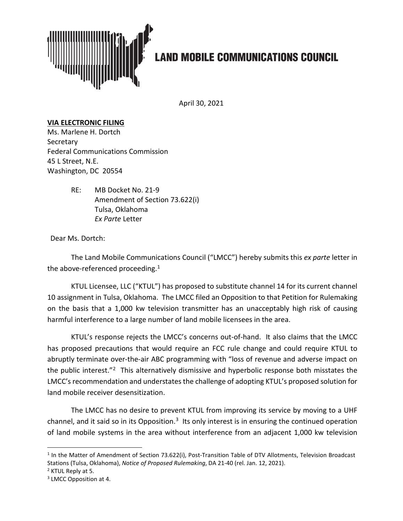

## **LAND MOBILE COMMUNICATIONS COUNCIL**

April 30, 2021

## **VIA ELECTRONIC FILING**

Ms. Marlene H. Dortch **Secretary** Federal Communications Commission 45 L Street, N.E. Washington, DC 20554

> RE: MB Docket No. 21-9 Amendment of Section 73.622(i) Tulsa, Oklahoma *Ex Parte* Letter

Dear Ms. Dortch:

The Land Mobile Communications Council ("LMCC") hereby submits this *ex parte* letter in the above-referenced proceeding.<sup>[1](#page-0-0)</sup>

KTUL Licensee, LLC ("KTUL") has proposed to substitute channel 14 for its current channel 10 assignment in Tulsa, Oklahoma. The LMCC filed an Opposition to that Petition for Rulemaking on the basis that a 1,000 kw television transmitter has an unacceptably high risk of causing harmful interference to a large number of land mobile licensees in the area.

KTUL's response rejects the LMCC's concerns out-of-hand. It also claims that the LMCC has proposed precautions that would require an FCC rule change and could require KTUL to abruptly terminate over-the-air ABC programming with "loss of revenue and adverse impact on the public interest."[2](#page-0-1) This alternatively dismissive and hyperbolic response both misstates the LMCC's recommendation and understates the challenge of adopting KTUL's proposed solution for land mobile receiver desensitization.

The LMCC has no desire to prevent KTUL from improving its service by moving to a UHF channel, and it said so in its Opposition.<sup>[3](#page-0-2)</sup> Its only interest is in ensuring the continued operation of land mobile systems in the area without interference from an adjacent 1,000 kw television

<span id="page-0-0"></span> $1$  In the Matter of Amendment of Section 73.622(i), Post-Transition Table of DTV Allotments, Television Broadcast Stations (Tulsa, Oklahoma), *Notice of Proposed Rulemaking*, DA 21-40 (rel. Jan. 12, 2021).

<span id="page-0-1"></span><sup>2</sup> KTUL Reply at 5.

<span id="page-0-2"></span><sup>&</sup>lt;sup>3</sup> LMCC Opposition at 4.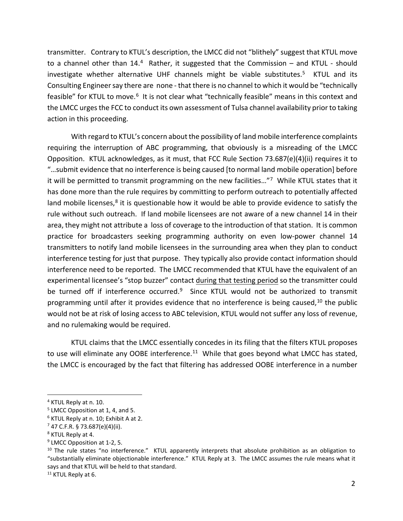transmitter. Contrary to KTUL's description, the LMCC did not "blithely" suggest that KTUL move to a channel other than  $14.4$  $14.4$  $14.4$  Rather, it suggested that the Commission – and KTUL - should investigate whether alternative UHF channels might be viable substitutes.<sup>[5](#page-1-1)</sup> KTUL and its Consulting Engineer say there are none - that there is no channel to which it would be "technically feasible" for KTUL to move.<sup>6</sup> It is not clear what "technically feasible" means in this context and the LMCC urges the FCC to conduct its own assessment of Tulsa channel availability prior to taking action in this proceeding.

With regard to KTUL's concern about the possibility of land mobile interference complaints requiring the interruption of ABC programming, that obviously is a misreading of the LMCC Opposition. KTUL acknowledges, as it must, that FCC Rule Section 73.687(e)(4)(ii) requires it to "…submit evidence that no interference is being caused [to normal land mobile operation] before it will be permitted to transmit programming on the new facilities..."<sup>7</sup> While KTUL states that it has done more than the rule requires by committing to perform outreach to potentially affected land mobile licenses, $8$  it is questionable how it would be able to provide evidence to satisfy the rule without such outreach. If land mobile licensees are not aware of a new channel 14 in their area, they might not attribute a loss of coverage to the introduction of that station. It is common practice for broadcasters seeking programming authority on even low-power channel 14 transmitters to notify land mobile licensees in the surrounding area when they plan to conduct interference testing for just that purpose. They typically also provide contact information should interference need to be reported. The LMCC recommended that KTUL have the equivalent of an experimental licensee's "stop buzzer" contact during that testing period so the transmitter could be turned off if interference occurred.<sup>[9](#page-1-5)</sup> Since KTUL would not be authorized to transmit programming until after it provides evidence that no interference is being caused,<sup>[10](#page-1-6)</sup> the public would not be at risk of losing access to ABC television, KTUL would not suffer any loss of revenue, and no rulemaking would be required.

KTUL claims that the LMCC essentially concedes in its filing that the filters KTUL proposes to use will eliminate any OOBE interference.<sup>11</sup> While that goes beyond what LMCC has stated, the LMCC is encouraged by the fact that filtering has addressed OOBE interference in a number

<span id="page-1-0"></span><sup>4</sup> KTUL Reply at n. 10.

<span id="page-1-1"></span><sup>&</sup>lt;sup>5</sup> LMCC Opposition at 1, 4, and 5.

<span id="page-1-3"></span><span id="page-1-2"></span><sup>6</sup> KTUL Reply at n. 10; Exhibit A at 2.

<sup>7</sup> 47 C.F.R. § 73.687(e)(4)(ii).

<span id="page-1-4"></span><sup>8</sup> KTUL Reply at 4.

<span id="page-1-6"></span><span id="page-1-5"></span><sup>&</sup>lt;sup>9</sup> LMCC Opposition at 1-2, 5.<br><sup>10</sup> The rule states "no interference." KTUL apparently interprets that absolute prohibition as an obligation to "substantially eliminate objectionable interference." KTUL Reply at 3. The LMCC assumes the rule means what it says and that KTUL will be held to that standard.

<span id="page-1-7"></span><sup>&</sup>lt;sup>11</sup> KTUL Reply at 6.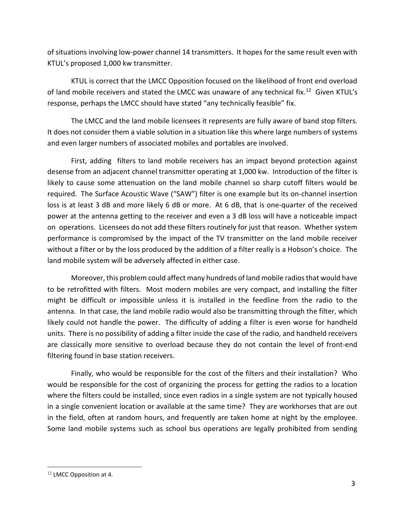of situations involving low-power channel 14 transmitters. It hopes for the same result even with KTUL's proposed 1,000 kw transmitter.

KTUL is correct that the LMCC Opposition focused on the likelihood of front end overload of land mobile receivers and stated the LMCC was unaware of any technical fix.<sup>[12](#page-2-0)</sup> Given KTUL's response, perhaps the LMCC should have stated "any technically feasible" fix.

The LMCC and the land mobile licensees it represents are fully aware of band stop filters. It does not consider them a viable solution in a situation like this where large numbers of systems and even larger numbers of associated mobiles and portables are involved.

First, adding filters to land mobile receivers has an impact beyond protection against desense from an adjacent channel transmitter operating at 1,000 kw. Introduction of the filter is likely to cause some attenuation on the land mobile channel so sharp cutoff filters would be required. The Surface Acoustic Wave ("SAW") filter is one example but its on-channel insertion loss is at least 3 dB and more likely 6 dB or more. At 6 dB, that is one-quarter of the received power at the antenna getting to the receiver and even a 3 dB loss will have a noticeable impact on operations. Licensees do not add these filters routinely for just that reason. Whether system performance is compromised by the impact of the TV transmitter on the land mobile receiver without a filter or by the loss produced by the addition of a filter really is a Hobson's choice. The land mobile system will be adversely affected in either case.

Moreover, this problem could affect many hundreds of land mobile radios that would have to be retrofitted with filters. Most modern mobiles are very compact, and installing the filter might be difficult or impossible unless it is installed in the feedline from the radio to the antenna. In that case, the land mobile radio would also be transmitting through the filter, which likely could not handle the power. The difficulty of adding a filter is even worse for handheld units. There is no possibility of adding a filter inside the case of the radio, and handheld receivers are classically more sensitive to overload because they do not contain the level of front-end filtering found in base station receivers.

Finally, who would be responsible for the cost of the filters and their installation? Who would be responsible for the cost of organizing the process for getting the radios to a location where the filters could be installed, since even radios in a single system are not typically housed in a single convenient location or available at the same time? They are workhorses that are out in the field, often at random hours, and frequently are taken home at night by the employee. Some land mobile systems such as school bus operations are legally prohibited from sending

<span id="page-2-0"></span><sup>&</sup>lt;sup>12</sup> LMCC Opposition at 4.